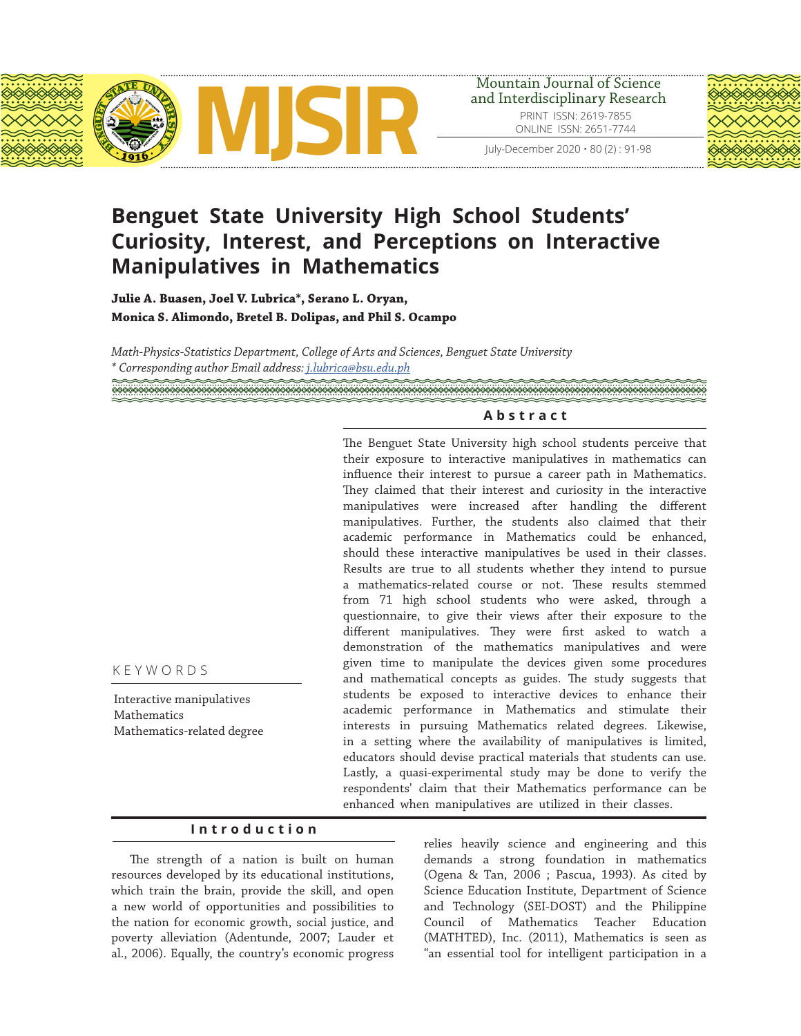



# **Benguet State University High School Students' Curiosity, Interest, and Perceptions on Interactive Manipulatives in Mathematics**

**Julie A. Buasen, Joel V. Lubrica\*, Serano L. Oryan, Monica S. Alimondo, Bretel B. Dolipas, and Phil S. Ocampo**

*Math-Physics-Statistics Department, College of Arts and Sciences, Benguet State University \* Corresponding author Email address: j.lubrica@bsu.edu.ph*

## **Abstract**

The Benguet State University high school students perceive that their exposure to interactive manipulatives in mathematics can influence their interest to pursue a career path in Mathematics. They claimed that their interest and curiosity in the interactive manipulatives were increased after handling the different manipulatives. Further, the students also claimed that their academic performance in Mathematics could be enhanced, should these interactive manipulatives be used in their classes. Results are true to all students whether they intend to pursue a mathematics-related course or not. These results stemmed from 71 high school students who were asked, through a questionnaire, to give their views after their exposure to the different manipulatives. They were first asked to watch a demonstration of the mathematics manipulatives and were given time to manipulate the devices given some procedures and mathematical concepts as guides. The study suggests that students be exposed to interactive devices to enhance their academic performance in Mathematics and stimulate their interests in pursuing Mathematics related degrees. Likewise, in a setting where the availability of manipulatives is limited, educators should devise practical materials that students can use. Lastly, a quasi-experimental study may be done to verify the respondents' claim that their Mathematics performance can be enhanced when manipulatives are utilized in their classes.

#### KEYWORDS

Interactive manipulatives Mathematics Mathematics-related degree

## **Introduction**

The strength of a nation is built on human resources developed by its educational institutions, which train the brain, provide the skill, and open a new world of opportunities and possibilities to the nation for economic growth, social justice, and poverty alleviation (Adentunde, 2007; Lauder et al., 2006). Equally, the country's economic progress relies heavily science and engineering and this demands a strong foundation in mathematics (Ogena & Tan, 2006 ; Pascua, 1993). As cited by Science Education Institute, Department of Science and Technology (SEI-DOST) and the Philippine Council of Mathematics Teacher Education (MATHTED), Inc. (2011), Mathematics is seen as "an essential tool for intelligent participation in a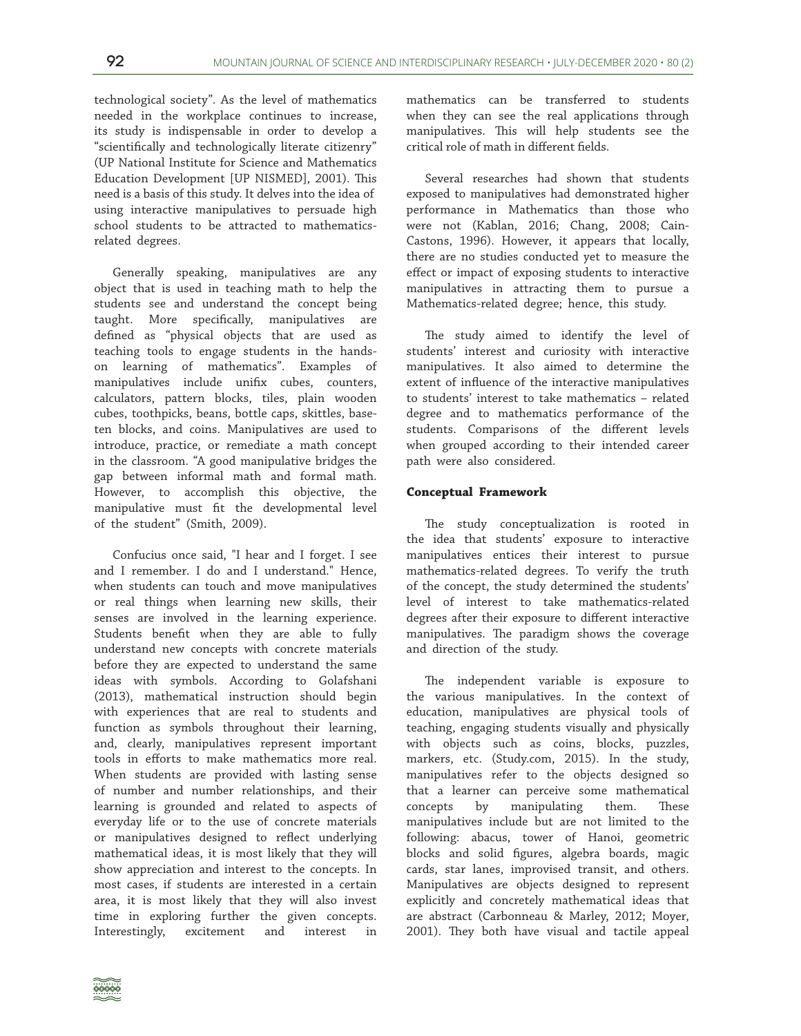technological society". As the level of mathematics needed in the workplace continues to increase, its study is indispensable in order to develop a "scientifically and technologically literate citizenry" (UP National Institute for Science and Mathematics Education Development [UP NISMED], 2001). This need is a basis of this study. It delves into the idea of using interactive manipulatives to persuade high school students to be attracted to mathematicsrelated degrees.

Generally speaking, manipulatives are any object that is used in teaching math to help the students see and understand the concept being taught. More specifically, manipulatives are defined as "physical objects that are used as teaching tools to engage students in the handson learning of mathematics". Examples of manipulatives include unifix cubes, counters, calculators, pattern blocks, tiles, plain wooden cubes, toothpicks, beans, bottle caps, skittles, baseten blocks, and coins. Manipulatives are used to introduce, practice, or remediate a math concept in the classroom. "A good manipulative bridges the gap between informal math and formal math. However, to accomplish this objective, the manipulative must fit the developmental level of the student" (Smith, 2009).

Confucius once said, "I hear and I forget. I see and I remember. I do and I understand." Hence, when students can touch and move manipulatives or real things when learning new skills, their senses are involved in the learning experience. Students benefit when they are able to fully understand new concepts with concrete materials before they are expected to understand the same ideas with symbols. According to Golafshani (2013), mathematical instruction should begin with experiences that are real to students and function as symbols throughout their learning, and, clearly, manipulatives represent important tools in efforts to make mathematics more real. When students are provided with lasting sense of number and number relationships, and their learning is grounded and related to aspects of everyday life or to the use of concrete materials or manipulatives designed to reflect underlying mathematical ideas, it is most likely that they will show appreciation and interest to the concepts. In most cases, if students are interested in a certain area, it is most likely that they will also invest time in exploring further the given concepts. Interestingly, excitement and interest in

mathematics can be transferred to students when they can see the real applications through manipulatives. This will help students see the critical role of math in different fields.

Several researches had shown that students exposed to manipulatives had demonstrated higher performance in Mathematics than those who were not (Kablan, 2016; Chang, 2008; Cain-Castons, 1996). However, it appears that locally, there are no studies conducted yet to measure the effect or impact of exposing students to interactive manipulatives in attracting them to pursue a Mathematics-related degree; hence, this study.

The study aimed to identify the level of students' interest and curiosity with interactive manipulatives. It also aimed to determine the extent of influence of the interactive manipulatives to students' interest to take mathematics – related degree and to mathematics performance of the students. Comparisons of the different levels when grouped according to their intended career path were also considered.

#### **Conceptual Framework**

The study conceptualization is rooted in the idea that students' exposure to interactive manipulatives entices their interest to pursue mathematics-related degrees. To verify the truth of the concept, the study determined the students' level of interest to take mathematics-related degrees after their exposure to different interactive manipulatives. The paradigm shows the coverage and direction of the study.

The independent variable is exposure to the various manipulatives. In the context of education, manipulatives are physical tools of teaching, engaging students visually and physically with objects such as coins, blocks, puzzles, markers, etc. (Study.com, 2015). In the study, manipulatives refer to the objects designed so that a learner can perceive some mathematical concepts by manipulating them. These manipulatives include but are not limited to the following: abacus, tower of Hanoi, geometric blocks and solid figures, algebra boards, magic cards, star lanes, improvised transit, and others. Manipulatives are objects designed to represent explicitly and concretely mathematical ideas that are abstract (Carbonneau & Marley, 2012; Moyer, 2001). They both have visual and tactile appeal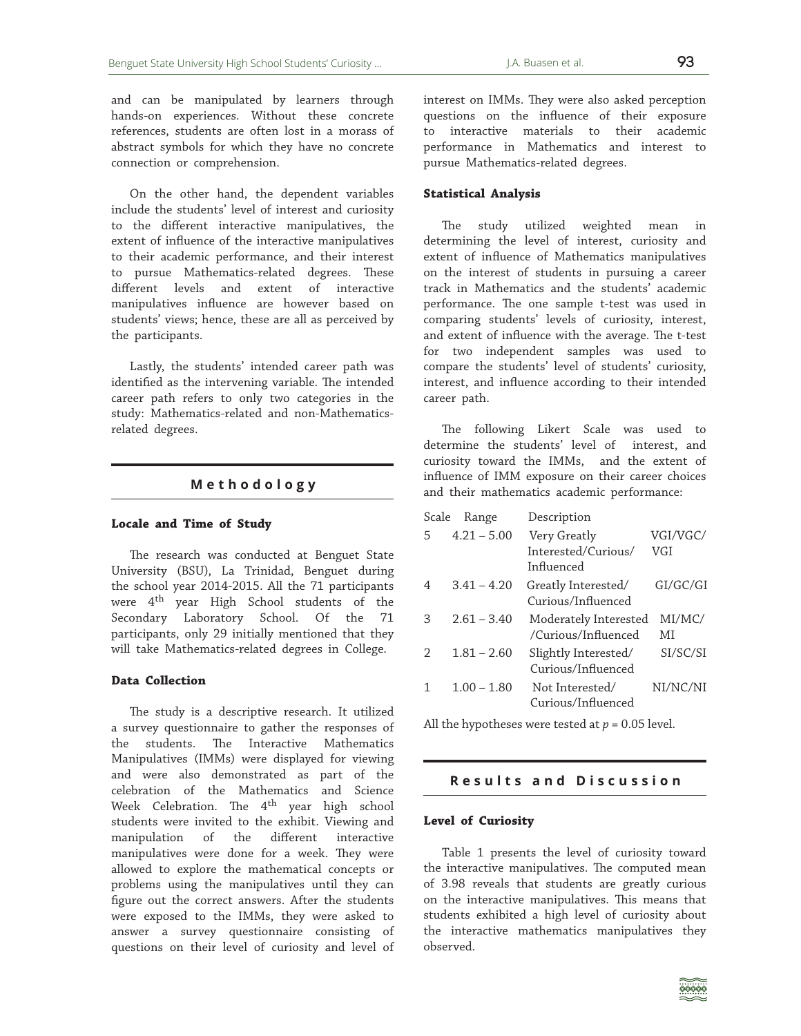and can be manipulated by learners through hands-on experiences. Without these concrete references, students are often lost in a morass of abstract symbols for which they have no concrete connection or comprehension.

On the other hand, the dependent variables include the students' level of interest and curiosity to the different interactive manipulatives, the extent of influence of the interactive manipulatives to their academic performance, and their interest to pursue Mathematics-related degrees. These different levels and extent of interactive manipulatives influence are however based on students' views; hence, these are all as perceived by the participants.

Lastly, the students' intended career path was identified as the intervening variable. The intended career path refers to only two categories in the study: Mathematics-related and non-Mathematicsrelated degrees.

#### **Methodology**

#### **Locale and Time of Study**

The research was conducted at Benguet State University (BSU), La Trinidad, Benguet during the school year 2014-2015. All the 71 participants were 4<sup>th</sup> year High School students of the Secondary Laboratory School. Of the 71 participants, only 29 initially mentioned that they will take Mathematics-related degrees in College.

#### **Data Collection**

The study is a descriptive research. It utilized a survey questionnaire to gather the responses of the students. The Interactive Mathematics Manipulatives (IMMs) were displayed for viewing and were also demonstrated as part of the celebration of the Mathematics and Science Week Celebration. The 4<sup>th</sup> year high school students were invited to the exhibit. Viewing and manipulation of the different interactive manipulatives were done for a week. They were allowed to explore the mathematical concepts or problems using the manipulatives until they can figure out the correct answers. After the students were exposed to the IMMs, they were asked to answer a survey questionnaire consisting of questions on their level of curiosity and level of

interest on IMMs. They were also asked perception questions on the influence of their exposure to interactive materials to their academic performance in Mathematics and interest to pursue Mathematics-related degrees.

#### **Statistical Analysis**

The study utilized weighted mean in determining the level of interest, curiosity and extent of influence of Mathematics manipulatives on the interest of students in pursuing a career track in Mathematics and the students' academic performance. The one sample t-test was used in comparing students' levels of curiosity, interest, and extent of influence with the average. The t-test for two independent samples was used to compare the students' level of students' curiosity, interest, and influence according to their intended career path.

The following Likert Scale was used to determine the students' level of interest, and curiosity toward the IMMs, and the extent of influence of IMM exposure on their career choices and their mathematics academic performance:

| Scale | Range         | Description           |            |
|-------|---------------|-----------------------|------------|
| 5     | $4.21 - 5.00$ | Very Greatly          | VGI/VGC/   |
|       |               | Interested/Curious/   | <b>VGI</b> |
|       |               | Influenced            |            |
| 4     | $3.41 - 4.20$ | Greatly Interested/   | GI/GC/GI   |
|       |               | Curious/Influenced    |            |
| З     | $2.61 - 3.40$ | Moderately Interested | MI/MC/     |
|       |               | /Curious/Influenced   | MI         |
| ヮ     | $1.81 - 2.60$ | Slightly Interested/  | SI/SC/SI   |
|       |               | Curious/Influenced    |            |
|       | $1.00 - 1.80$ | Not Interested/       | NI/NC/NI   |
|       |               | Curious/Influenced    |            |
|       |               |                       |            |

All the hypotheses were tested at  $p = 0.05$  level.

#### **Results and Discussion**

#### **Level of Curiosity**

Table 1 presents the level of curiosity toward the interactive manipulatives. The computed mean of 3.98 reveals that students are greatly curious on the interactive manipulatives. This means that students exhibited a high level of curiosity about the interactive mathematics manipulatives they observed.

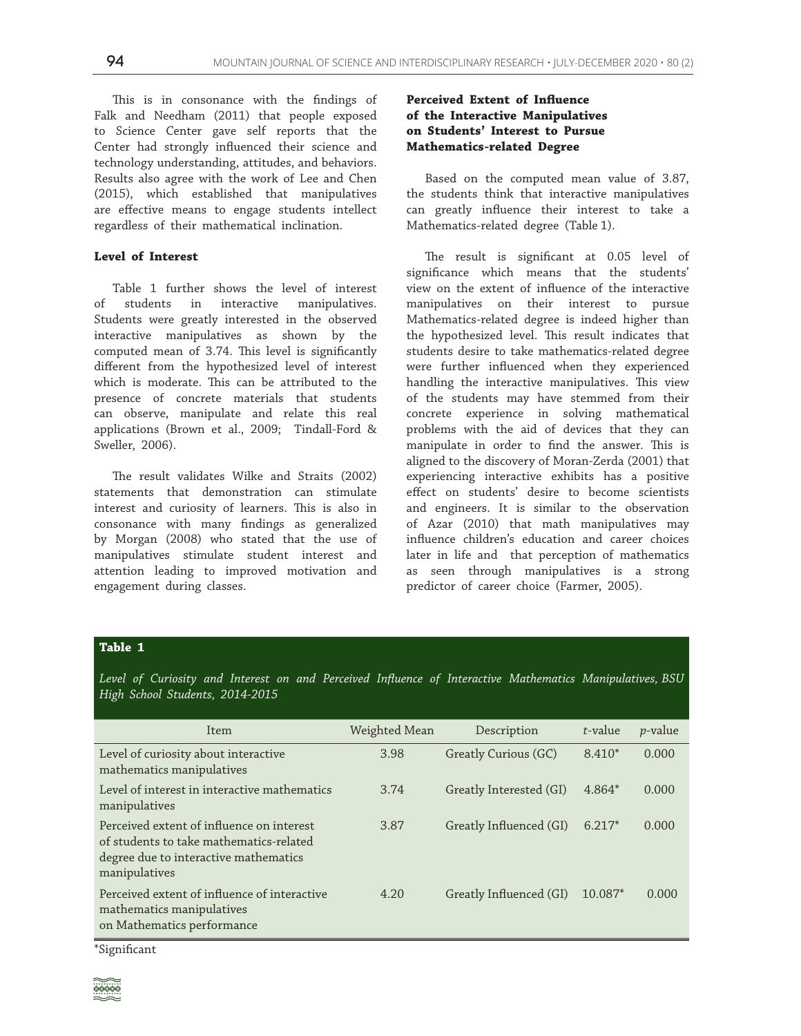This is in consonance with the findings of Falk and Needham (2011) that people exposed to Science Center gave self reports that the Center had strongly influenced their science and technology understanding, attitudes, and behaviors. Results also agree with the work of Lee and Chen (2015), which established that manipulatives are effective means to engage students intellect regardless of their mathematical inclination.

#### **Level of Interest**

Table 1 further shows the level of interest of students in interactive manipulatives. Students were greatly interested in the observed interactive manipulatives as shown by the computed mean of 3.74. This level is significantly different from the hypothesized level of interest which is moderate. This can be attributed to the presence of concrete materials that students can observe, manipulate and relate this real applications (Brown et al., 2009; Tindall-Ford & Sweller, 2006).

The result validates Wilke and Straits (2002) statements that demonstration can stimulate interest and curiosity of learners. This is also in consonance with many findings as generalized by Morgan (2008) who stated that the use of manipulatives stimulate student interest and attention leading to improved motivation and engagement during classes.

## **Perceived Extent of Influence of the Interactive Manipulatives on Students' Interest to Pursue Mathematics-related Degree**

Based on the computed mean value of 3.87, the students think that interactive manipulatives can greatly influence their interest to take a Mathematics-related degree (Table 1).

The result is significant at 0.05 level of significance which means that the students' view on the extent of influence of the interactive manipulatives on their interest to pursue Mathematics-related degree is indeed higher than the hypothesized level. This result indicates that students desire to take mathematics-related degree were further influenced when they experienced handling the interactive manipulatives. This view of the students may have stemmed from their concrete experience in solving mathematical problems with the aid of devices that they can manipulate in order to find the answer. This is aligned to the discovery of Moran-Zerda (2001) that experiencing interactive exhibits has a positive effect on students' desire to become scientists and engineers. It is similar to the observation of Azar (2010) that math manipulatives may influence children's education and career choices later in life and that perception of mathematics as seen through manipulatives is a strong predictor of career choice (Farmer, 2005).

# **Table 1**

*Level of Curiosity and Interest on and Perceived Influence of Interactive Mathematics Manipulatives, BSU High School Students, 2014-2015*

| <b>Item</b>                                                                                                                                    | Weighted Mean | Description             | t-value   | <i>p</i> -value |
|------------------------------------------------------------------------------------------------------------------------------------------------|---------------|-------------------------|-----------|-----------------|
| Level of curiosity about interactive<br>mathematics manipulatives                                                                              | 3.98          | Greatly Curious (GC)    | $8.410*$  | 0.000           |
| Level of interest in interactive mathematics<br>manipulatives                                                                                  | 3.74          | Greatly Interested (GI) | $4.864*$  | 0.000           |
| Perceived extent of influence on interest<br>of students to take mathematics-related<br>degree due to interactive mathematics<br>manipulatives | 3.87          | Greatly Influenced (GI) | $6.217*$  | 0.000           |
| Perceived extent of influence of interactive<br>mathematics manipulatives<br>on Mathematics performance                                        | 4.20          | Greatly Influenced (GI) | $10.087*$ | 0.000           |

\*Significant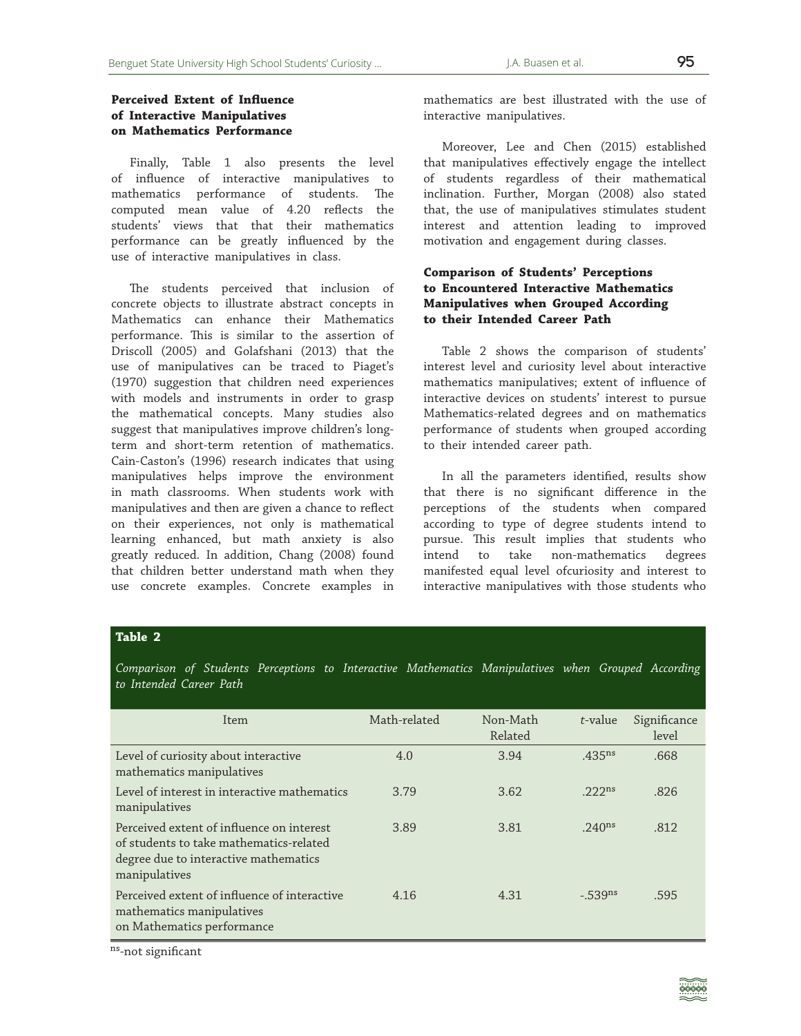Finally, Table 1 also presents the level of influence of interactive manipulatives to mathematics performance of students. The computed mean value of 4.20 reflects the students' views that that their mathematics performance can be greatly influenced by the use of interactive manipulatives in class.

The students perceived that inclusion of concrete objects to illustrate abstract concepts in Mathematics can enhance their Mathematics performance. This is similar to the assertion of Driscoll (2005) and Golafshani (2013) that the use of manipulatives can be traced to Piaget's (1970) suggestion that children need experiences with models and instruments in order to grasp the mathematical concepts. Many studies also suggest that manipulatives improve children's longterm and short-term retention of mathematics. Cain-Caston's (1996) research indicates that using manipulatives helps improve the environment in math classrooms. When students work with manipulatives and then are given a chance to reflect on their experiences, not only is mathematical learning enhanced, but math anxiety is also greatly reduced. In addition, Chang (2008) found that children better understand math when they use concrete examples. Concrete examples in

mathematics are best illustrated with the use of interactive manipulatives.

Moreover, Lee and Chen (2015) established that manipulatives effectively engage the intellect of students regardless of their mathematical inclination. Further, Morgan (2008) also stated that, the use of manipulatives stimulates student interest and attention leading to improved motivation and engagement during classes.

# **Comparison of Students' Perceptions to Encountered Interactive Mathematics Manipulatives when Grouped According to their Intended Career Path**

Table 2 shows the comparison of students' interest level and curiosity level about interactive mathematics manipulatives; extent of influence of interactive devices on students' interest to pursue Mathematics-related degrees and on mathematics performance of students when grouped according to their intended career path.

In all the parameters identified, results show that there is no significant difference in the perceptions of the students when compared according to type of degree students intend to pursue. This result implies that students who intend to take non-mathematics degrees manifested equal level ofcuriosity and interest to interactive manipulatives with those students who

# **Table 2**

*Comparison of Students Perceptions to Interactive Mathematics Manipulatives when Grouped According to Intended Career Path*

| Item                                                                                                                                           | Math-related | Non-Math<br>Related | t-value            | Significance<br>level |
|------------------------------------------------------------------------------------------------------------------------------------------------|--------------|---------------------|--------------------|-----------------------|
| Level of curiosity about interactive<br>mathematics manipulatives                                                                              | 4.0          | 3.94                | $.435^{ns}$        | .668                  |
| Level of interest in interactive mathematics<br>manipulatives                                                                                  | 3.79         | 3.62                | .222 <sub>ns</sub> | .826                  |
| Perceived extent of influence on interest<br>of students to take mathematics-related<br>degree due to interactive mathematics<br>manipulatives | 3.89         | 3.81                | .240 <sup>ns</sup> | .812                  |
| Perceived extent of influence of interactive<br>mathematics manipulatives<br>on Mathematics performance                                        | 4.16         | 4.31                | $-.539^{ns}$       | .595                  |

ns-not significant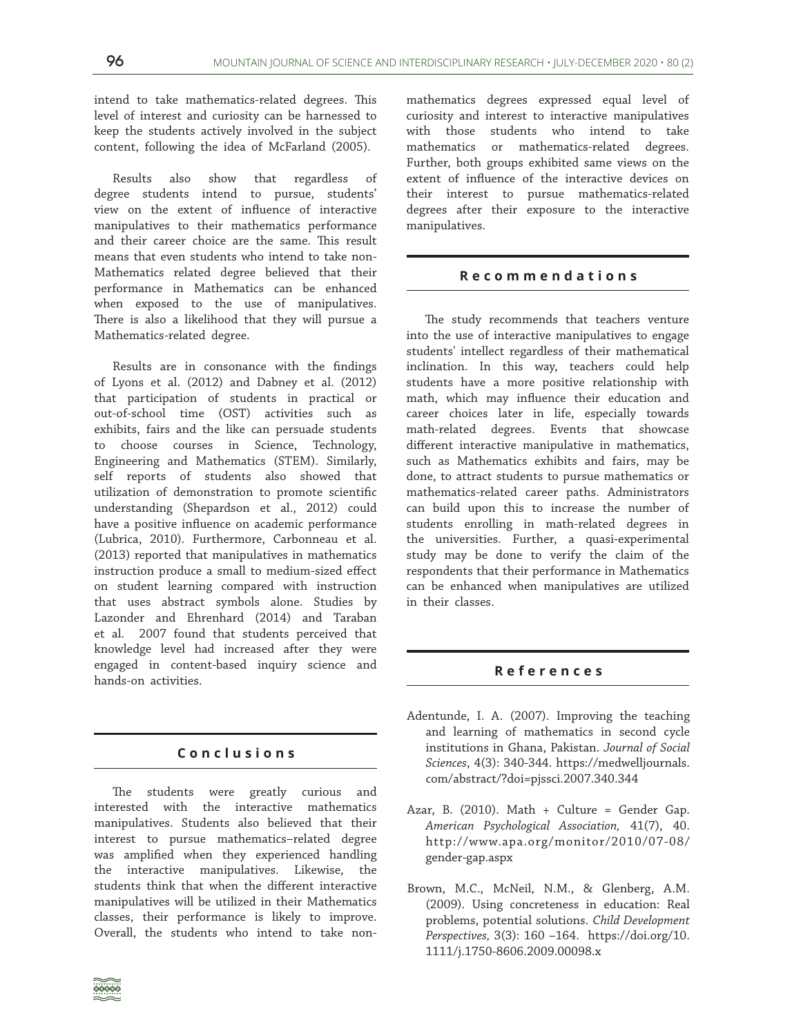intend to take mathematics-related degrees. This level of interest and curiosity can be harnessed to keep the students actively involved in the subject content, following the idea of McFarland (2005).

Results also show that regardless of degree students intend to pursue, students' view on the extent of influence of interactive manipulatives to their mathematics performance and their career choice are the same. This result means that even students who intend to take non-Mathematics related degree believed that their performance in Mathematics can be enhanced when exposed to the use of manipulatives. There is also a likelihood that they will pursue a Mathematics-related degree.

Results are in consonance with the findings of Lyons et al. (2012) and Dabney et al. (2012) that participation of students in practical or out-of-school time (OST) activities such as exhibits, fairs and the like can persuade students to choose courses in Science, Technology, Engineering and Mathematics (STEM). Similarly, self reports of students also showed that utilization of demonstration to promote scientific understanding (Shepardson et al., 2012) could have a positive influence on academic performance (Lubrica, 2010). Furthermore, Carbonneau et al. (2013) reported that manipulatives in mathematics instruction produce a small to medium-sized effect on student learning compared with instruction that uses abstract symbols alone. Studies by Lazonder and Ehrenhard (2014) and Taraban et al. 2007 found that students perceived that knowledge level had increased after they were engaged in content-based inquiry science and hands-on activities.

## **Conclusions**

The students were greatly curious and interested with the interactive mathematics manipulatives. Students also believed that their interest to pursue mathematics–related degree was amplified when they experienced handling the interactive manipulatives. Likewise, the students think that when the different interactive manipulatives will be utilized in their Mathematics classes, their performance is likely to improve. Overall, the students who intend to take non-

mathematics degrees expressed equal level of curiosity and interest to interactive manipulatives with those students who intend to take mathematics or mathematics-related degrees. Further, both groups exhibited same views on the extent of influence of the interactive devices on their interest to pursue mathematics-related degrees after their exposure to the interactive manipulatives.

## **Recommendations**

The study recommends that teachers venture into the use of interactive manipulatives to engage students' intellect regardless of their mathematical inclination. In this way, teachers could help students have a more positive relationship with math, which may influence their education and career choices later in life, especially towards math-related degrees. Events that showcase different interactive manipulative in mathematics, such as Mathematics exhibits and fairs, may be done, to attract students to pursue mathematics or mathematics-related career paths. Administrators can build upon this to increase the number of students enrolling in math-related degrees in the universities. Further, a quasi-experimental study may be done to verify the claim of the respondents that their performance in Mathematics can be enhanced when manipulatives are utilized in their classes.

## **References**

- Adentunde, I. A. (2007). Improving the teaching and learning of mathematics in second cycle institutions in Ghana, Pakistan. *Journal of Social Sciences*, 4(3): 340-344. https://medwelljournals. com/abstract/?doi=pjssci.2007.340.344
- Azar, B. (2010). Math + Culture = Gender Gap. *American Psychological Association,* 41(7), 40. http://www.apa.org/monitor/2010/07-08/ gender-gap.aspx
- Brown, M.C., McNeil, N.M., & Glenberg, A.M. (2009). Using concreteness in education: Real problems, potential solutions. *Child Development Perspectives,* 3(3): 160 –164. https://doi.org/10. 1111/j.1750-8606.2009.00098.x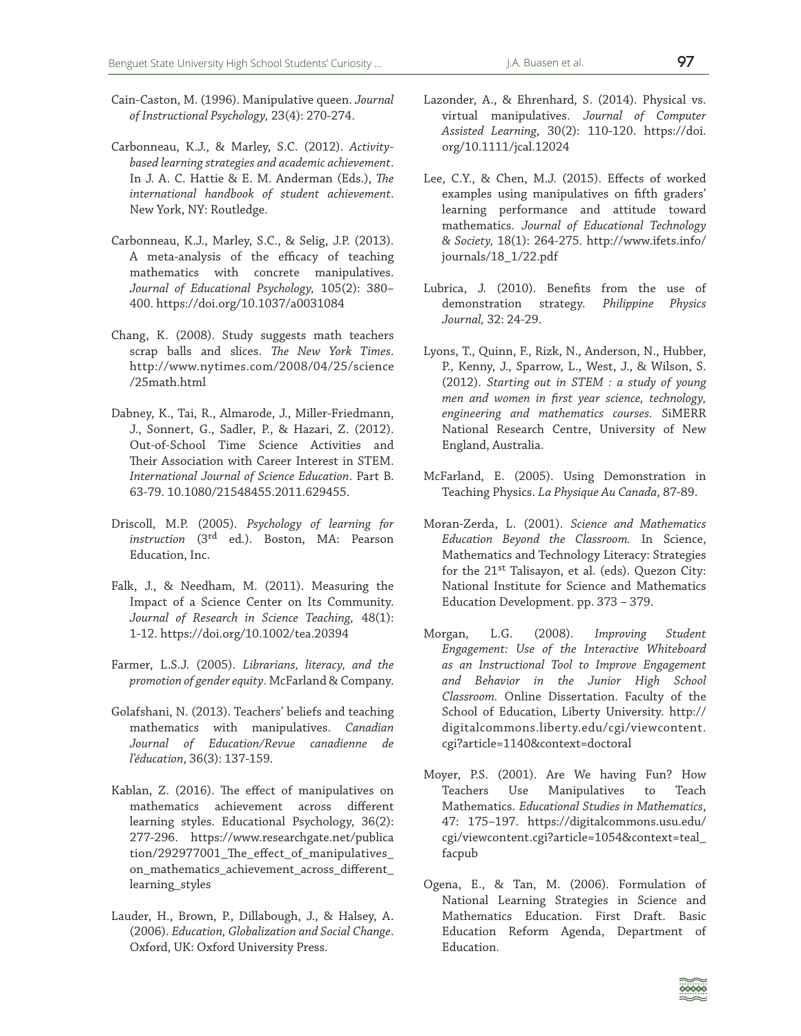- Cain-Caston, M. (1996). Manipulative queen. *Journal of Instructional Psychology,* 23(4): 270-274.
- Carbonneau, K.J., & Marley, S.C. (2012). *Activitybased learning strategies and academic achievement*. In J. A. C. Hattie & E. M. Anderman (Eds.), *The international handbook of student achievement*. New York, NY: Routledge.
- Carbonneau, K.J., Marley, S.C., & Selig, J.P. (2013). A meta-analysis of the efficacy of teaching mathematics with concrete manipulatives. *Journal of Educational Psychology,* 105(2): 380– 400. https://doi.org/10.1037/a0031084
- Chang, K. (2008). Study suggests math teachers scrap balls and slices. *The New York Times*. http://www.nytimes.com/2008/04/25/science /25math.html
- Dabney, K., Tai, R., Almarode, J., Miller-Friedmann, J., Sonnert, G., Sadler, P., & Hazari, Z. (2012). Out-of-School Time Science Activities and Their Association with Career Interest in STEM. *International Journal of Science Education*. Part B. 63-79. 10.1080/21548455.2011.629455.
- Driscoll, M.P. (2005). *Psychology of learning for instruction* (3rd ed.). Boston, MA: Pearson Education, Inc.
- Falk, J., & Needham, M. (2011). Measuring the Impact of a Science Center on Its Community. *Journal of Research in Science Teaching,* 48(1): 1-12. https://doi.org/10.1002/tea.20394
- Farmer, L.S.J. (2005). *Librarians, literacy, and the promotion of gender equity*. McFarland & Company.
- Golafshani, N. (2013). Teachers' beliefs and teaching mathematics with manipulatives. *Canadian Journal of Education/Revue canadienne de l'éducation*, 36(3): 137-159.
- Kablan, Z. (2016). The effect of manipulatives on mathematics achievement across different learning styles. Educational Psychology, 36(2): 277-296. https://www.researchgate.net/publica tion/292977001\_The\_effect\_of\_manipulatives\_ on\_mathematics\_achievement\_across\_different\_ learning\_styles
- Lauder, H., Brown, P., Dillabough, J., & Halsey, A. (2006). *Education, Globalization and Social Change*. Oxford, UK: Oxford University Press.
- Lazonder, A., & Ehrenhard, S. (2014). Physical vs. virtual manipulatives. *Journal of Computer Assisted Learning*, 30(2): 110-120. https://doi. org/10.1111/jcal.12024
- Lee, C.Y., & Chen, M.J. (2015). Effects of worked examples using manipulatives on fifth graders' learning performance and attitude toward mathematics. *Journal of Educational Technology & Society,* 18(1): 264-275. http://www.ifets.info/ journals/18\_1/22.pdf
- Lubrica, J. (2010). Benefits from the use of demonstration strategy. *Philippine Physics Journal,* 32: 24-29.
- Lyons, T., Quinn, F., Rizk, N., Anderson, N., Hubber, P., Kenny, J., Sparrow, L., West, J., & Wilson, S. (2012). *Starting out in STEM : a study of young men and women in first year science, technology, engineering and mathematics courses.* SiMERR National Research Centre, University of New England, Australia.
- McFarland, E. (2005). Using Demonstration in Teaching Physics. *La Physique Au Canada*, 87-89.
- Moran-Zerda, L. (2001). *Science and Mathematics Education Beyond the Classroom.* In Science, Mathematics and Technology Literacy: Strategies for the 21<sup>st</sup> Talisayon, et al. (eds). Quezon City: National Institute for Science and Mathematics Education Development. pp. 373 – 379.
- Morgan, L.G. (2008). *Improving Student Engagement: Use of the Interactive Whiteboard as an Instructional Tool to Improve Engagement and Behavior in the Junior High School Classroom.* Online Dissertation. Faculty of the School of Education, Liberty University. http:// digitalcommons.liberty.edu/cgi/viewcontent. cgi?article=1140&context=doctoral
- Moyer, P.S. (2001). Are We having Fun? How Teachers Use Manipulatives to Teach Mathematics. *Educational Studies in Mathematics*, 47: 175–197. https://digitalcommons.usu.edu/ cgi/viewcontent.cgi?article=1054&context=teal\_ facpub
- Ogena, E., & Tan, M. (2006). Formulation of National Learning Strategies in Science and Mathematics Education. First Draft. Basic Education Reform Agenda, Department of Education.